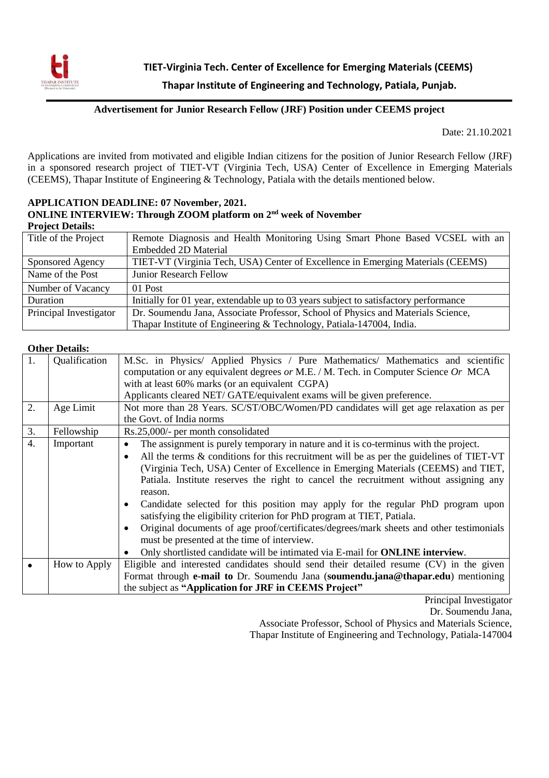

## **Advertisement for Junior Research Fellow (JRF) Position under CEEMS project**

Date: 21.10.2021

Applications are invited from motivated and eligible Indian citizens for the position of Junior Research Fellow (JRF) in a sponsored research project of TIET-VT (Virginia Tech, USA) Center of Excellence in Emerging Materials (CEEMS), Thapar Institute of Engineering & Technology, Patiala with the details mentioned below.

## **APPLICATION DEADLINE: 07 November, 2021. ONLINE INTERVIEW: Through ZOOM platform on 2nd week of November Project Details:**

| Title of the Project   | Remote Diagnosis and Health Monitoring Using Smart Phone Based VCSEL with an         |
|------------------------|--------------------------------------------------------------------------------------|
|                        | <b>Embedded 2D Material</b>                                                          |
| Sponsored Agency       | TIET-VT (Virginia Tech, USA) Center of Excellence in Emerging Materials (CEEMS)      |
| Name of the Post       | <b>Junior Research Fellow</b>                                                        |
| Number of Vacancy      | 01 Post                                                                              |
| Duration               | Initially for 01 year, extendable up to 03 years subject to satisfactory performance |
| Principal Investigator | Dr. Soumendu Jana, Associate Professor, School of Physics and Materials Science,     |
|                        | Thapar Institute of Engineering & Technology, Patiala-147004, India.                 |

## **Other Details:**

| 1.<br>2.         | Qualification<br>Age Limit | M.Sc. in Physics/ Applied Physics / Pure Mathematics/ Mathematics and scientific<br>computation or any equivalent degrees or M.E. / M. Tech. in Computer Science Or MCA<br>with at least 60% marks (or an equivalent CGPA)<br>Applicants cleared NET/GATE/equivalent exams will be given preference.<br>Not more than 28 Years. SC/ST/OBC/Women/PD candidates will get age relaxation as per                                                                                                                                                                                                                                                                                                                                                                             |  |  |
|------------------|----------------------------|--------------------------------------------------------------------------------------------------------------------------------------------------------------------------------------------------------------------------------------------------------------------------------------------------------------------------------------------------------------------------------------------------------------------------------------------------------------------------------------------------------------------------------------------------------------------------------------------------------------------------------------------------------------------------------------------------------------------------------------------------------------------------|--|--|
|                  |                            | the Govt. of India norms                                                                                                                                                                                                                                                                                                                                                                                                                                                                                                                                                                                                                                                                                                                                                 |  |  |
| 3.               | Fellowship                 | Rs.25,000/- per month consolidated                                                                                                                                                                                                                                                                                                                                                                                                                                                                                                                                                                                                                                                                                                                                       |  |  |
| $\overline{4}$ . | Important                  | The assignment is purely temporary in nature and it is co-terminus with the project.<br>All the terms & conditions for this recruitment will be as per the guidelines of TIET-VT<br>(Virginia Tech, USA) Center of Excellence in Emerging Materials (CEEMS) and TIET,<br>Patiala. Institute reserves the right to cancel the recruitment without assigning any<br>reason.<br>Candidate selected for this position may apply for the regular PhD program upon<br>satisfying the eligibility criterion for PhD program at TIET, Patiala.<br>Original documents of age proof/certificates/degrees/mark sheets and other testimonials<br>must be presented at the time of interview.<br>Only shortlisted candidate will be intimated via E-mail for <b>ONLINE</b> interview. |  |  |
|                  | How to Apply               | Eligible and interested candidates should send their detailed resume (CV) in the given                                                                                                                                                                                                                                                                                                                                                                                                                                                                                                                                                                                                                                                                                   |  |  |
|                  |                            | Format through e-mail to Dr. Soumendu Jana (soumendu.jana@thapar.edu) mentioning<br>the subject as "Application for JRF in CEEMS Project"                                                                                                                                                                                                                                                                                                                                                                                                                                                                                                                                                                                                                                |  |  |

Principal Investigator

Dr. Soumendu Jana,

Associate Professor, School of Physics and Materials Science, Thapar Institute of Engineering and Technology, Patiala-147004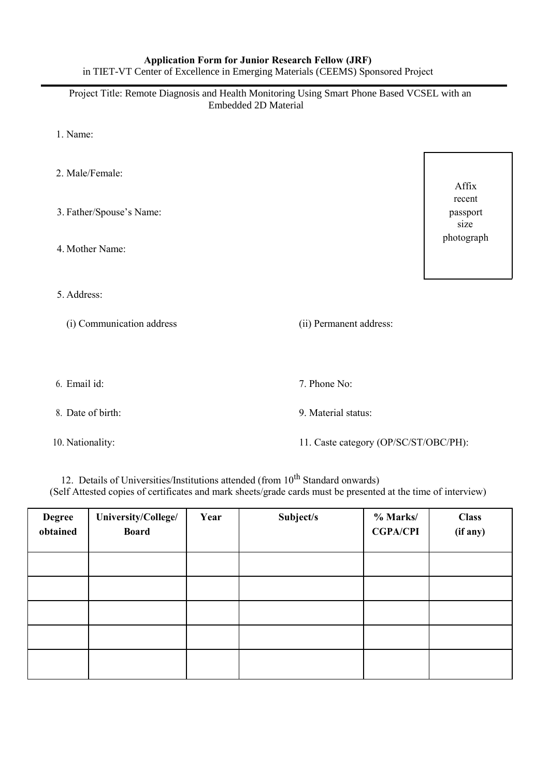## **Application Form for Junior Research Fellow (JRF)**  in TIET-VT Center of Excellence in Emerging Materials (CEEMS) Sponsored Project

Project Title: Remote Diagnosis and Health Monitoring Using Smart Phone Based VCSEL with an Embedded 2D Material

- 1. Name:
- 2. Male/Female: Affix recent 3. Father/Spouse's Name: passport size photograph 4. Mother Name: 5. Address: (i) Communication address (ii) Permanent address: 6. Email id: 7. Phone No: 8. Date of birth: 9. Material status: 10. Nationality: 11. Caste category (OP/SC/ST/OBC/PH):

12. Details of Universities/Institutions attended (from  $10^{th}$  Standard onwards) (Self Attested copies of certificates and mark sheets/grade cards must be presented at the time of interview)

| <b>Degree</b><br>obtained | University/College/<br><b>Board</b> | Year | Subject/s | % Marks/<br><b>CGPA/CPI</b> | <b>Class</b><br>(if any) |
|---------------------------|-------------------------------------|------|-----------|-----------------------------|--------------------------|
|                           |                                     |      |           |                             |                          |
|                           |                                     |      |           |                             |                          |
|                           |                                     |      |           |                             |                          |
|                           |                                     |      |           |                             |                          |
|                           |                                     |      |           |                             |                          |